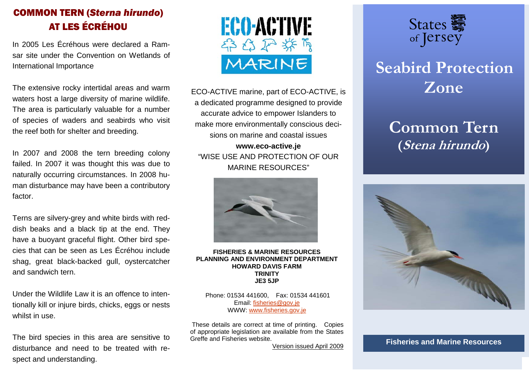# COMMON TERN (*Sterna hirundo*) AT LES ÉCRÉHOU

In 2005 Les Écréhous were declared a Ramsar site under the Convention on Wetlands of International Importance

The extensive rocky intertidal areas and warm waters host a large diversity of marine wildlife. The area is particularly valuable for a number of species of waders and seabirds who visit the reef both for shelter and breeding.

In 2007 and 2008 the tern breeding colony failed. In 2007 it was thought this was due to naturally occurring circumstances. In 2008 human disturbance may have been a contributory factor.

Terns are silvery-grey and white birds with reddish beaks and a black tip at the end. They have a buoyant graceful flight. Other bird species that can be seen as Les Écréhou include shag, great black-backed gull, oystercatcher and sandwich tern.

Under the Wildlife Law it is an offence to intentionally kill or injure birds, chicks, eggs or nests whilst in use.

The bird species in this area are sensitive to disturbance and need to be treated with respect and understanding.



ECO-ACTIVE marine, part of ECO-ACTIVE, is a dedicated programme designed to provide accurate advice to empower Islanders to make more environmentally conscious decisions on marine and coastal issues **www.eco-active.je** 

"WISE USE AND PROTECTION OF OUR MARINE RESOURCES"



#### **FISHERIES & MARINE RESOURCES PLANNING AND ENVIRONMENT DEPARTMENT HOWARD DAVIS FARM TRINITY JE3 5JP**

 Phone: 01534 441600, Fax: 01534 441601 Email: fisheries@gov.je WWW: www.fisheries.gov.je

 These details are correct at time of printing. Copies of appropriate legislation are available from the States Greffe and Fisheries website.

Version issued April 2009



# **Seabird Protection Zone**

# **Common Tern (Stena hirundo)**



**Fisheries and Marine Resources**